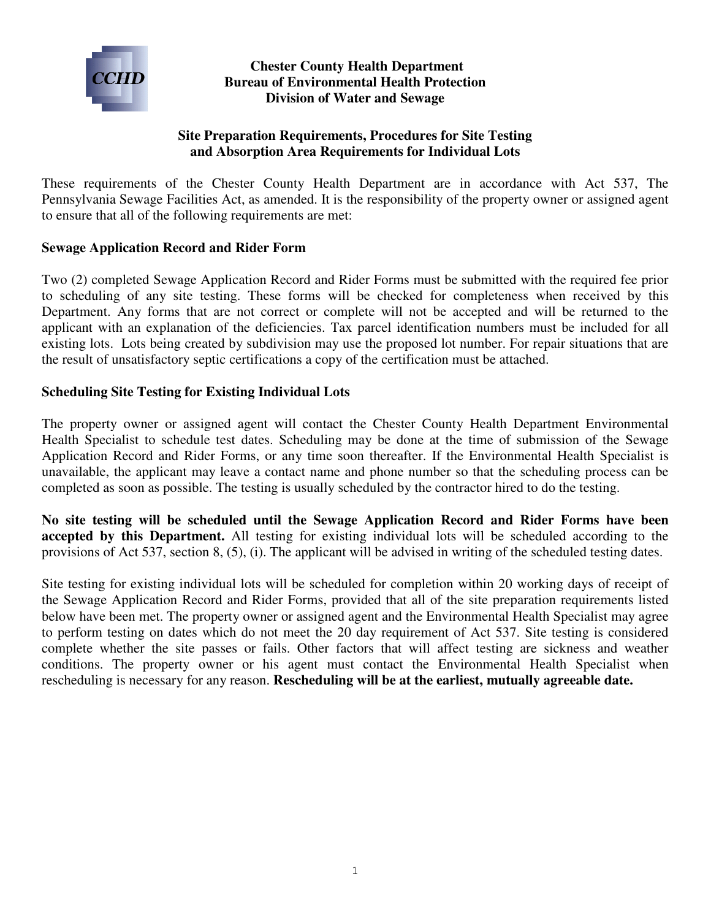

## **Chester County Health Department Bureau of Environmental Health Protection Division of Water and Sewage**

## **Site Preparation Requirements, Procedures for Site Testing and Absorption Area Requirements for Individual Lots**

These requirements of the Chester County Health Department are in accordance with Act 537, The Pennsylvania Sewage Facilities Act, as amended. It is the responsibility of the property owner or assigned agent to ensure that all of the following requirements are met:

## **Sewage Application Record and Rider Form**

Two (2) completed Sewage Application Record and Rider Forms must be submitted with the required fee prior to scheduling of any site testing. These forms will be checked for completeness when received by this Department. Any forms that are not correct or complete will not be accepted and will be returned to the applicant with an explanation of the deficiencies. Tax parcel identification numbers must be included for all existing lots. Lots being created by subdivision may use the proposed lot number. For repair situations that are the result of unsatisfactory septic certifications a copy of the certification must be attached.

#### **Scheduling Site Testing for Existing Individual Lots**

The property owner or assigned agent will contact the Chester County Health Department Environmental Health Specialist to schedule test dates. Scheduling may be done at the time of submission of the Sewage Application Record and Rider Forms, or any time soon thereafter. If the Environmental Health Specialist is unavailable, the applicant may leave a contact name and phone number so that the scheduling process can be completed as soon as possible. The testing is usually scheduled by the contractor hired to do the testing.

**No site testing will be scheduled until the Sewage Application Record and Rider Forms have been accepted by this Department.** All testing for existing individual lots will be scheduled according to the provisions of Act 537, section 8, (5), (i). The applicant will be advised in writing of the scheduled testing dates.

Site testing for existing individual lots will be scheduled for completion within 20 working days of receipt of the Sewage Application Record and Rider Forms, provided that all of the site preparation requirements listed below have been met. The property owner or assigned agent and the Environmental Health Specialist may agree to perform testing on dates which do not meet the 20 day requirement of Act 537. Site testing is considered complete whether the site passes or fails. Other factors that will affect testing are sickness and weather conditions. The property owner or his agent must contact the Environmental Health Specialist when rescheduling is necessary for any reason. **Rescheduling will be at the earliest, mutually agreeable date.**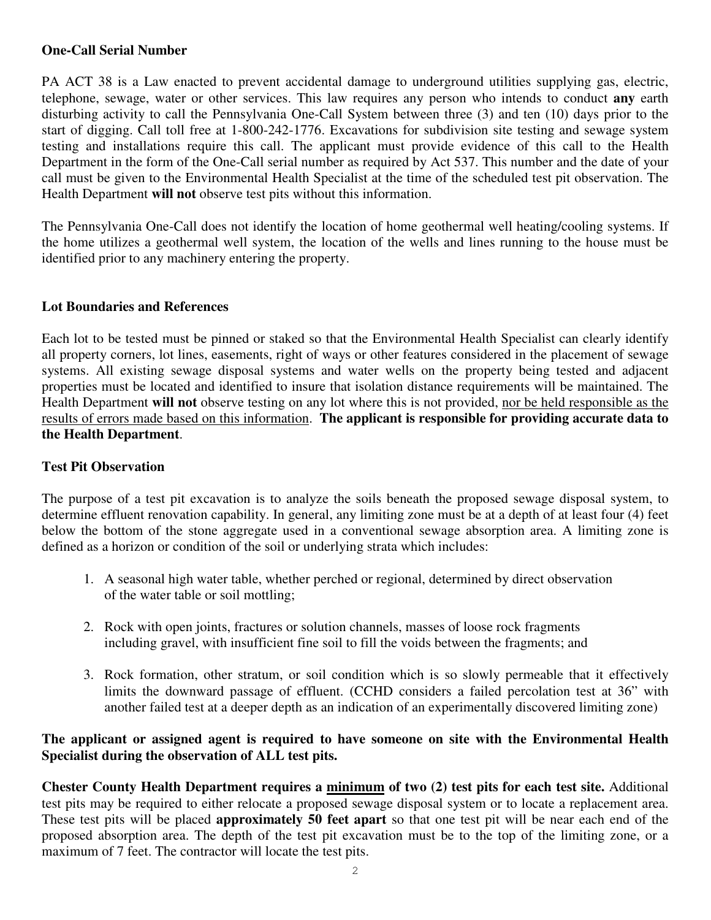## **One-Call Serial Number**

PA ACT 38 is a Law enacted to prevent accidental damage to underground utilities supplying gas, electric, telephone, sewage, water or other services. This law requires any person who intends to conduct **any** earth disturbing activity to call the Pennsylvania One-Call System between three (3) and ten (10) days prior to the start of digging. Call toll free at 1-800-242-1776. Excavations for subdivision site testing and sewage system testing and installations require this call. The applicant must provide evidence of this call to the Health Department in the form of the One-Call serial number as required by Act 537. This number and the date of your call must be given to the Environmental Health Specialist at the time of the scheduled test pit observation. The Health Department **will not** observe test pits without this information.

The Pennsylvania One-Call does not identify the location of home geothermal well heating/cooling systems. If the home utilizes a geothermal well system, the location of the wells and lines running to the house must be identified prior to any machinery entering the property.

## **Lot Boundaries and References**

Each lot to be tested must be pinned or staked so that the Environmental Health Specialist can clearly identify all property corners, lot lines, easements, right of ways or other features considered in the placement of sewage systems. All existing sewage disposal systems and water wells on the property being tested and adjacent properties must be located and identified to insure that isolation distance requirements will be maintained. The Health Department **will not** observe testing on any lot where this is not provided, nor be held responsible as the results of errors made based on this information. **The applicant is responsible for providing accurate data to the Health Department**.

## **Test Pit Observation**

The purpose of a test pit excavation is to analyze the soils beneath the proposed sewage disposal system, to determine effluent renovation capability. In general, any limiting zone must be at a depth of at least four (4) feet below the bottom of the stone aggregate used in a conventional sewage absorption area. A limiting zone is defined as a horizon or condition of the soil or underlying strata which includes:

- 1. A seasonal high water table, whether perched or regional, determined by direct observation of the water table or soil mottling;
- 2. Rock with open joints, fractures or solution channels, masses of loose rock fragments including gravel, with insufficient fine soil to fill the voids between the fragments; and
- 3. Rock formation, other stratum, or soil condition which is so slowly permeable that it effectively limits the downward passage of effluent. (CCHD considers a failed percolation test at 36" with another failed test at a deeper depth as an indication of an experimentally discovered limiting zone)

#### **The applicant or assigned agent is required to have someone on site with the Environmental Health Specialist during the observation of ALL test pits.**

**Chester County Health Department requires a minimum of two (2) test pits for each test site.** Additional test pits may be required to either relocate a proposed sewage disposal system or to locate a replacement area. These test pits will be placed **approximately 50 feet apart** so that one test pit will be near each end of the proposed absorption area. The depth of the test pit excavation must be to the top of the limiting zone, or a maximum of 7 feet. The contractor will locate the test pits.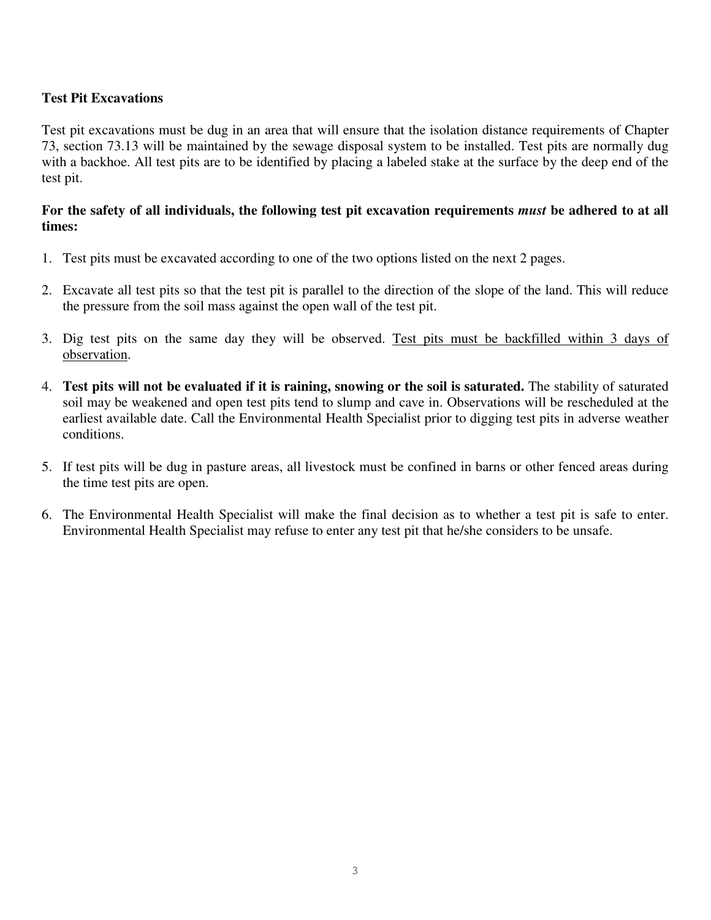## **Test Pit Excavations**

Test pit excavations must be dug in an area that will ensure that the isolation distance requirements of Chapter 73, section 73.13 will be maintained by the sewage disposal system to be installed. Test pits are normally dug with a backhoe. All test pits are to be identified by placing a labeled stake at the surface by the deep end of the test pit.

## **For the safety of all individuals, the following test pit excavation requirements** *must* **be adhered to at all times:**

- 1. Test pits must be excavated according to one of the two options listed on the next 2 pages.
- 2. Excavate all test pits so that the test pit is parallel to the direction of the slope of the land. This will reduce the pressure from the soil mass against the open wall of the test pit.
- 3. Dig test pits on the same day they will be observed. Test pits must be backfilled within 3 days of observation.
- 4. **Test pits will not be evaluated if it is raining, snowing or the soil is saturated.** The stability of saturated soil may be weakened and open test pits tend to slump and cave in. Observations will be rescheduled at the earliest available date. Call the Environmental Health Specialist prior to digging test pits in adverse weather conditions.
- 5. If test pits will be dug in pasture areas, all livestock must be confined in barns or other fenced areas during the time test pits are open.
- 6. The Environmental Health Specialist will make the final decision as to whether a test pit is safe to enter. Environmental Health Specialist may refuse to enter any test pit that he/she considers to be unsafe.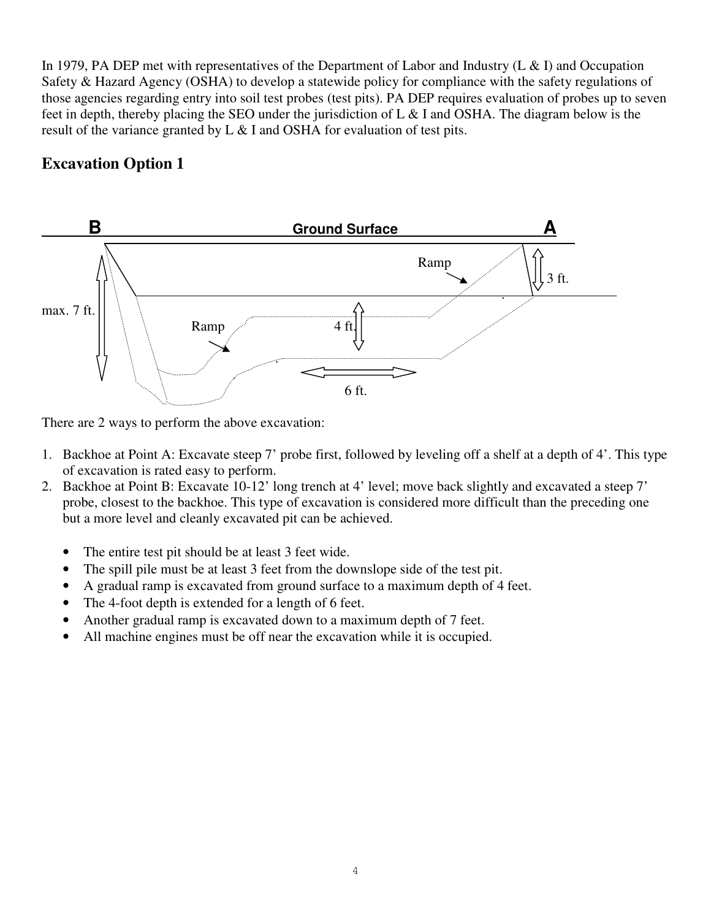In 1979, PA DEP met with representatives of the Department of Labor and Industry (L & I) and Occupation Safety & Hazard Agency (OSHA) to develop a statewide policy for compliance with the safety regulations of those agencies regarding entry into soil test probes (test pits). PA DEP requires evaluation of probes up to seven feet in depth, thereby placing the SEO under the jurisdiction of L & I and OSHA. The diagram below is the result of the variance granted by L & I and OSHA for evaluation of test pits.

# **Excavation Option 1**



There are 2 ways to perform the above excavation:

- 1. Backhoe at Point A: Excavate steep 7' probe first, followed by leveling off a shelf at a depth of 4'. This type of excavation is rated easy to perform.
- 2. Backhoe at Point B: Excavate 10-12' long trench at 4' level; move back slightly and excavated a steep 7' probe, closest to the backhoe. This type of excavation is considered more difficult than the preceding one but a more level and cleanly excavated pit can be achieved.
	- The entire test pit should be at least 3 feet wide.
	- The spill pile must be at least 3 feet from the downslope side of the test pit.
	- A gradual ramp is excavated from ground surface to a maximum depth of 4 feet.
	- The 4-foot depth is extended for a length of 6 feet.
	- Another gradual ramp is excavated down to a maximum depth of 7 feet.
	- All machine engines must be off near the excavation while it is occupied.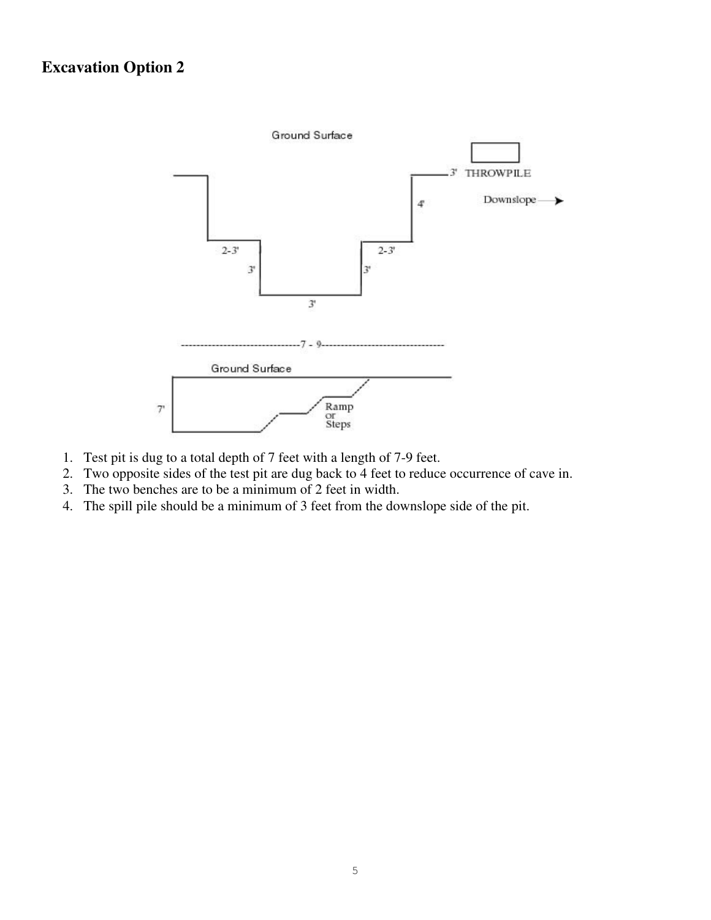# **Excavation Option 2**



- 1. Test pit is dug to a total depth of 7 feet with a length of 7-9 feet.
- 2. Two opposite sides of the test pit are dug back to 4 feet to reduce occurrence of cave in.
- 3. The two benches are to be a minimum of 2 feet in width.
- 4. The spill pile should be a minimum of 3 feet from the downslope side of the pit.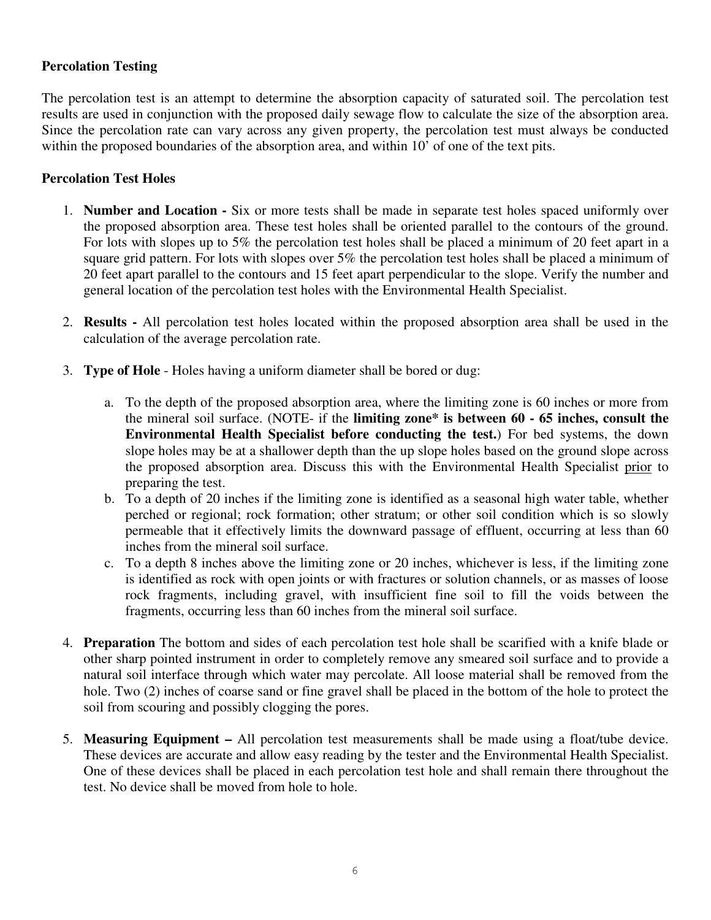## **Percolation Testing**

The percolation test is an attempt to determine the absorption capacity of saturated soil. The percolation test results are used in conjunction with the proposed daily sewage flow to calculate the size of the absorption area. Since the percolation rate can vary across any given property, the percolation test must always be conducted within the proposed boundaries of the absorption area, and within 10' of one of the text pits.

#### **Percolation Test Holes**

- 1. **Number and Location** Six or more tests shall be made in separate test holes spaced uniformly over the proposed absorption area. These test holes shall be oriented parallel to the contours of the ground. For lots with slopes up to 5% the percolation test holes shall be placed a minimum of 20 feet apart in a square grid pattern. For lots with slopes over 5% the percolation test holes shall be placed a minimum of 20 feet apart parallel to the contours and 15 feet apart perpendicular to the slope. Verify the number and general location of the percolation test holes with the Environmental Health Specialist.
- 2. **Results** All percolation test holes located within the proposed absorption area shall be used in the calculation of the average percolation rate.
- 3. **Type of Hole** Holes having a uniform diameter shall be bored or dug:
	- a. To the depth of the proposed absorption area, where the limiting zone is 60 inches or more from the mineral soil surface. (NOTE- if the **limiting zone\* is between 60 - 65 inches, consult the Environmental Health Specialist before conducting the test.**) For bed systems, the down slope holes may be at a shallower depth than the up slope holes based on the ground slope across the proposed absorption area. Discuss this with the Environmental Health Specialist prior to preparing the test.
	- b. To a depth of 20 inches if the limiting zone is identified as a seasonal high water table, whether perched or regional; rock formation; other stratum; or other soil condition which is so slowly permeable that it effectively limits the downward passage of effluent, occurring at less than 60 inches from the mineral soil surface.
	- c. To a depth 8 inches above the limiting zone or 20 inches, whichever is less, if the limiting zone is identified as rock with open joints or with fractures or solution channels, or as masses of loose rock fragments, including gravel, with insufficient fine soil to fill the voids between the fragments, occurring less than 60 inches from the mineral soil surface.
- 4. **Preparation** The bottom and sides of each percolation test hole shall be scarified with a knife blade or other sharp pointed instrument in order to completely remove any smeared soil surface and to provide a natural soil interface through which water may percolate. All loose material shall be removed from the hole. Two (2) inches of coarse sand or fine gravel shall be placed in the bottom of the hole to protect the soil from scouring and possibly clogging the pores.
- 5. **Measuring Equipment** All percolation test measurements shall be made using a float/tube device. These devices are accurate and allow easy reading by the tester and the Environmental Health Specialist. One of these devices shall be placed in each percolation test hole and shall remain there throughout the test. No device shall be moved from hole to hole.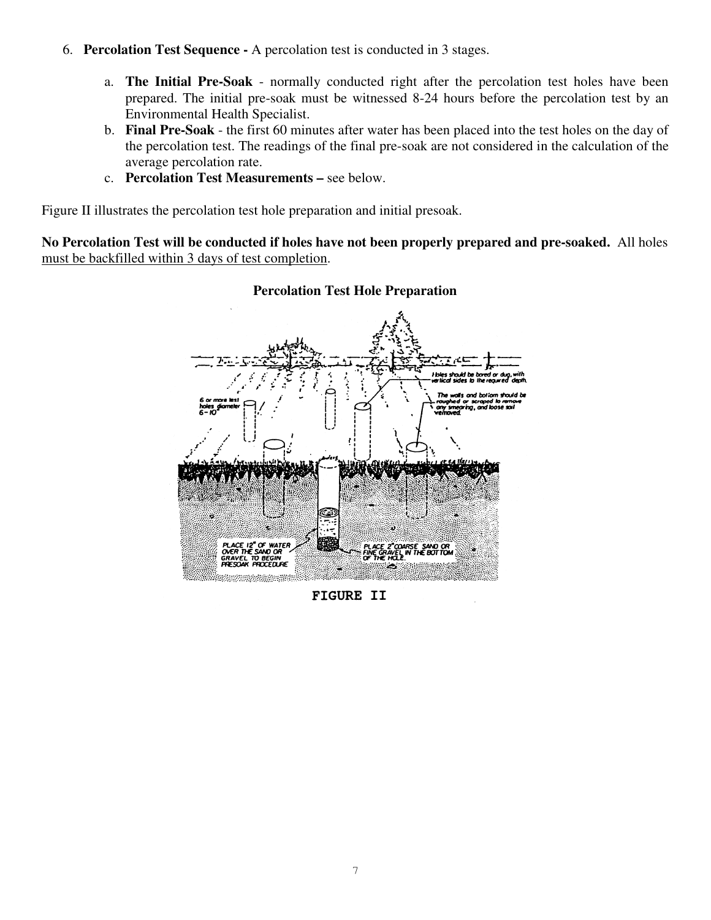- 6. **Percolation Test Sequence** A percolation test is conducted in 3 stages.
	- a. **The Initial Pre-Soak**  normally conducted right after the percolation test holes have been prepared. The initial pre-soak must be witnessed 8-24 hours before the percolation test by an Environmental Health Specialist.
	- b. **Final Pre-Soak** the first 60 minutes after water has been placed into the test holes on the day of the percolation test. The readings of the final pre-soak are not considered in the calculation of the average percolation rate.
	- c. **Percolation Test Measurements** see below.

Figure II illustrates the percolation test hole preparation and initial presoak.

**No Percolation Test will be conducted if holes have not been properly prepared and pre-soaked.** All holes must be backfilled within 3 days of test completion.



#### **Percolation Test Hole Preparation**

**FIGURE II**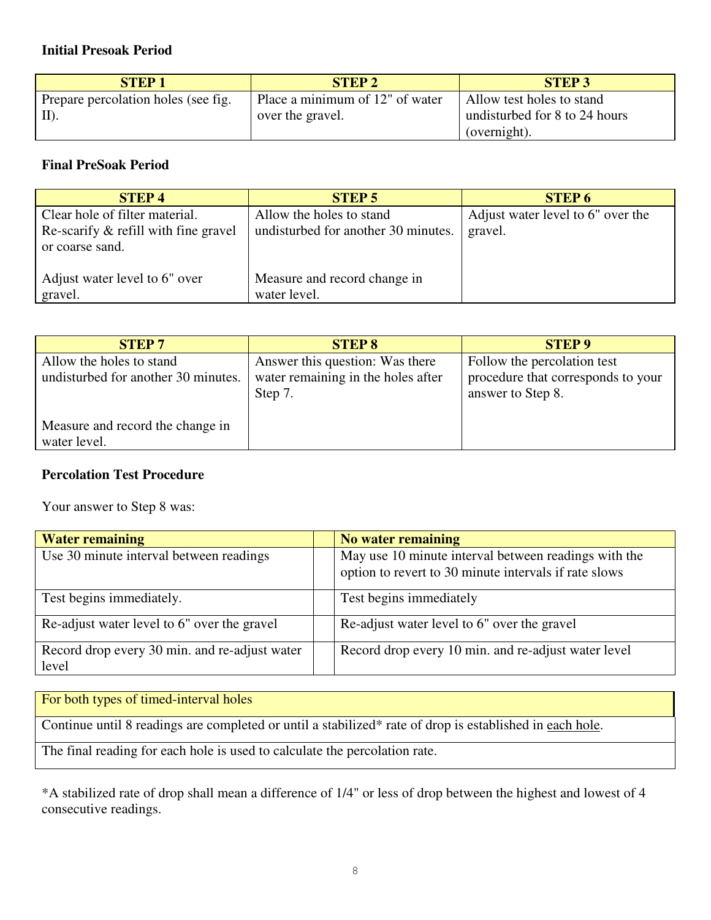## **Initial Presoak Period**

| <b>STEP1</b>                        | <b>STEP 2</b>                   | <b>STEP 3</b>                 |
|-------------------------------------|---------------------------------|-------------------------------|
| Prepare percolation holes (see fig. | Place a minimum of 12" of water | Allow test holes to stand     |
| $\vert$ II).                        | over the gravel.                | undisturbed for 8 to 24 hours |
|                                     |                                 | (overnight).                  |

## **Final PreSoak Period**

| <b>STEP4</b>                         | STEP 5                              | <b>STEP 6</b>                     |
|--------------------------------------|-------------------------------------|-----------------------------------|
| Clear hole of filter material.       | Allow the holes to stand            | Adjust water level to 6" over the |
| Re-scarify & refill with fine gravel | undisturbed for another 30 minutes. | gravel.                           |
| or coarse sand.                      |                                     |                                   |
|                                      |                                     |                                   |
| Adjust water level to 6" over        | Measure and record change in        |                                   |
| gravel.                              | water level.                        |                                   |

| <b>STEP7</b>                                                    | <b>STEP 8</b>                                                                    | <b>STEP 9</b>                                                                          |
|-----------------------------------------------------------------|----------------------------------------------------------------------------------|----------------------------------------------------------------------------------------|
| Allow the holes to stand<br>undisturbed for another 30 minutes. | Answer this question: Was there<br>water remaining in the holes after<br>Step 7. | Follow the percolation test<br>procedure that corresponds to your<br>answer to Step 8. |
| Measure and record the change in<br>water level.                |                                                                                  |                                                                                        |

## **Percolation Test Procedure**

Your answer to Step 8 was:

| <b>Water remaining</b>                                 | No water remaining                                                                                            |
|--------------------------------------------------------|---------------------------------------------------------------------------------------------------------------|
| Use 30 minute interval between readings                | May use 10 minute interval between readings with the<br>option to revert to 30 minute intervals if rate slows |
| Test begins immediately.                               | Test begins immediately                                                                                       |
| Re-adjust water level to 6" over the gravel            | Re-adjust water level to 6" over the gravel                                                                   |
| Record drop every 30 min. and re-adjust water<br>level | Record drop every 10 min. and re-adjust water level                                                           |

For both types of timed-interval holes

Continue until 8 readings are completed or until a stabilized\* rate of drop is established in each hole.

The final reading for each hole is used to calculate the percolation rate.

\*A stabilized rate of drop shall mean a difference of 1/4" or less of drop between the highest and lowest of 4 consecutive readings.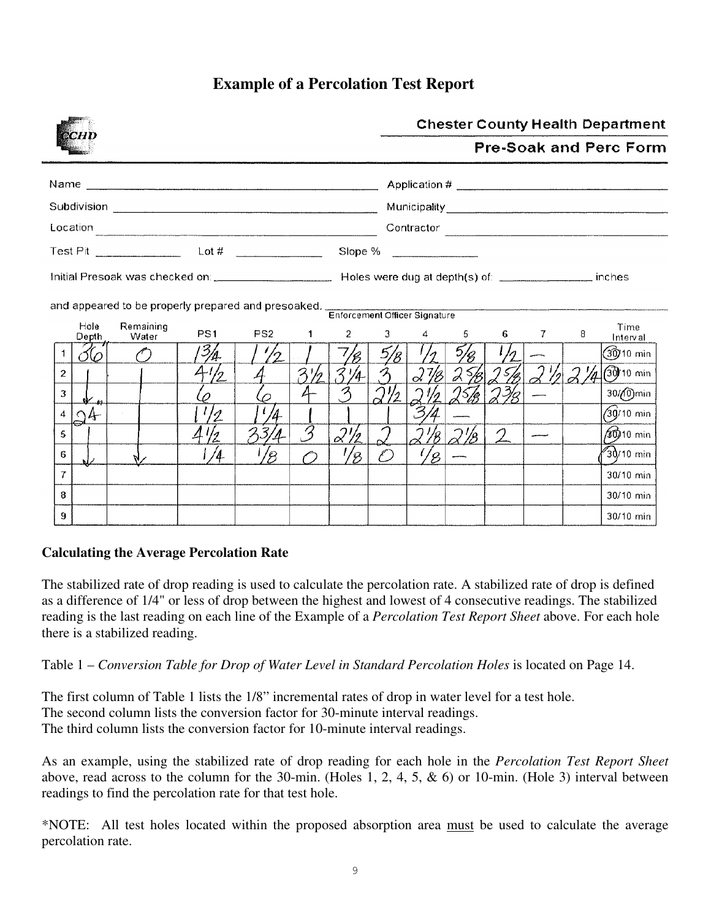## **Example of a Percolation Test Report**

|                | <b>BOHI</b>    |                                                                                                |                 |                |                          |               |               |                             |       |               |              |         | <b>Chester County Health Department</b> |
|----------------|----------------|------------------------------------------------------------------------------------------------|-----------------|----------------|--------------------------|---------------|---------------|-----------------------------|-------|---------------|--------------|---------|-----------------------------------------|
|                |                |                                                                                                |                 |                |                          |               |               |                             |       |               |              |         | <b>Pre-Soak and Perc Form</b>           |
|                |                |                                                                                                |                 |                |                          |               |               |                             |       |               |              |         |                                         |
|                |                |                                                                                                |                 |                |                          |               |               |                             |       |               |              |         |                                         |
|                |                | $\begin{array}{c c c c c} \text{Location} & \text{non-1} & \text{non-1} \\ \hline \end{array}$ |                 |                |                          |               |               | Contractor                  |       |               |              |         |                                         |
|                |                | Test Pit $\frac{1}{1}$ Lot # $\frac{1}{1}$                                                     |                 |                |                          |               |               | Slope % _______________     |       |               |              |         |                                         |
|                |                |                                                                                                |                 |                |                          |               |               |                             |       |               |              |         |                                         |
|                |                | and appeared to be properly prepared and presoaked. Enforcement Officer Signature              |                 |                |                          |               |               |                             |       |               |              |         |                                         |
|                | Hole<br>Depth  | Remaining<br>Water                                                                             | PS <sub>1</sub> |                | PS2 1                    |               |               | $2 \quad 3 \quad 4 \quad 5$ |       |               | $6 \qquad 7$ | 8       | Time<br>Interval                        |
| $\mathbf{1}$   | 86             |                                                                                                | 13/4.           |                |                          |               | $\frac{5}{8}$ |                             | 5/8   |               |              |         | (30)10 min                              |
| $\overline{2}$ |                |                                                                                                | 4/2             |                | 3½                       | 3/4           |               |                             | 27825 |               |              | 21/27/4 | 30/10 min                               |
| 3              | $N_{\mu}$      |                                                                                                |                 | $\varphi$      | 4                        |               |               |                             | 25/8  |               |              |         | 30/ <sub>(0</sub> ) min                 |
|                | $4\Omega$<br>د |                                                                                                | $\frac{1}{2}$   | $4\frac{1}{2}$ |                          |               |               |                             |       |               |              |         | ∕30j/10 min                             |
| 5.             |                |                                                                                                | $\frac{1}{2}$   | 33/            | $\overline{\mathcal{S}}$ | 21/2          | $\gamma$      | 18                          | 22    | $\mathcal{L}$ |              |         | ∕ൽ010 min                               |
| 6              |                |                                                                                                | /4              | $\frac{1}{8}$  | ⌒                        | $\frac{1}{8}$ | O             | $\frac{1}{8}$               |       |               |              |         | $30$ /10 min                            |
| $\mathbf{7}$   |                |                                                                                                |                 |                |                          |               |               |                             |       |               |              |         | 30/10 min                               |
| 8              |                |                                                                                                |                 |                |                          |               |               |                             |       |               |              |         | 30/10 min                               |
| 9.             |                |                                                                                                |                 |                |                          |               |               |                             |       |               |              |         | 30/10 min                               |

#### **Calculating the Average Percolation Rate**

The stabilized rate of drop reading is used to calculate the percolation rate. A stabilized rate of drop is defined as a difference of 1/4" or less of drop between the highest and lowest of 4 consecutive readings. The stabilized reading is the last reading on each line of the Example of a *Percolation Test Report Sheet* above. For each hole there is a stabilized reading.

Table 1 – *Conversion Table for Drop of Water Level in Standard Percolation Holes* is located on Page 14.

The first column of Table 1 lists the 1/8" incremental rates of drop in water level for a test hole. The second column lists the conversion factor for 30-minute interval readings. The third column lists the conversion factor for 10-minute interval readings.

As an example, using the stabilized rate of drop reading for each hole in the *Percolation Test Report Sheet*  above, read across to the column for the 30-min. (Holes 1, 2, 4, 5, & 6) or 10-min. (Hole 3) interval between readings to find the percolation rate for that test hole.

\*NOTE: All test holes located within the proposed absorption area must be used to calculate the average percolation rate.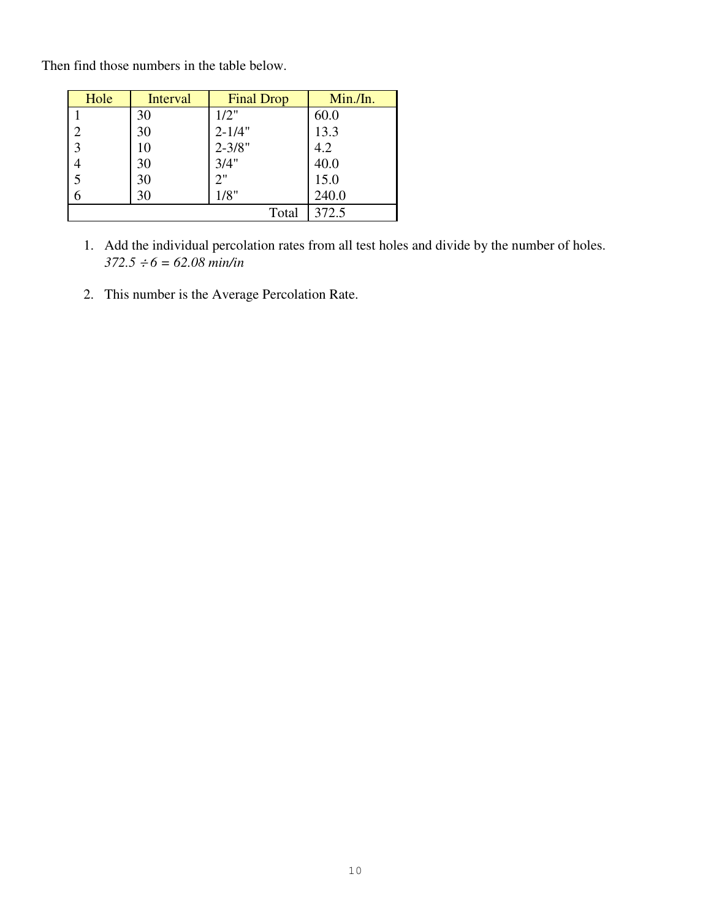Then find those numbers in the table below.

| Hole           | Interval | <b>Final Drop</b> | Min./In. |
|----------------|----------|-------------------|----------|
|                | 30       | 1/2"              | 60.0     |
| $\overline{2}$ | 30       | $2 - 1/4"$        | 13.3     |
| $\overline{3}$ | 10       | $2 - 3/8"$        | 4.2      |
| $\overline{4}$ | 30       | 3/4"              | 40.0     |
| $\overline{5}$ | 30       | 2"                | 15.0     |
| 6              | 30       | 1/8"              | 240.0    |
|                |          | Total             | 372.5    |

- 1. Add the individual percolation rates from all test holes and divide by the number of holes.  $372.5 \div 6 = 62.08 \text{ min/in}$
- 2. This number is the Average Percolation Rate.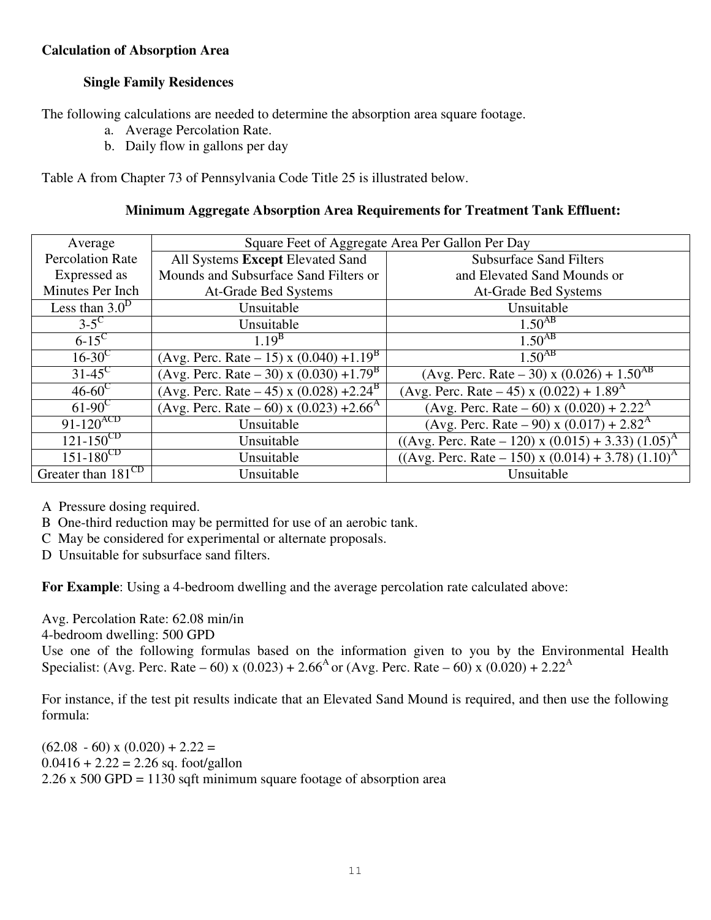## **Calculation of Absorption Area**

## **Single Family Residences**

The following calculations are needed to determine the absorption area square footage.

- a. Average Percolation Rate.
- b. Daily flow in gallons per day

Table A from Chapter 73 of Pennsylvania Code Title 25 is illustrated below.

| Average                        | Square Feet of Aggregate Area Per Gallon Per Day    |                                                         |  |  |  |
|--------------------------------|-----------------------------------------------------|---------------------------------------------------------|--|--|--|
| <b>Percolation Rate</b>        | All Systems Except Elevated Sand                    | <b>Subsurface Sand Filters</b>                          |  |  |  |
| Expressed as                   | Mounds and Subsurface Sand Filters or               | and Elevated Sand Mounds or                             |  |  |  |
| Minutes Per Inch               | At-Grade Bed Systems                                | At-Grade Bed Systems                                    |  |  |  |
| Less than $3.0D$               | Unsuitable                                          | Unsuitable                                              |  |  |  |
| $3-5^\circ$                    | Unsuitable                                          | $1.50^{AB}$                                             |  |  |  |
| $6-15$ <sup>C</sup>            | $1.19^{B}$                                          | $1.50$ <sup>AB</sup>                                    |  |  |  |
| $16-30^{\circ}$                | (Avg. Perc. Rate – 15) x $(0.040) +1.19^{8}$        | $1.50^{AB}$                                             |  |  |  |
| $31-45^{\circ}$                | (Avg. Perc. Rate – 30) x $\sqrt{(0.030) + 1.79^B}$  | (Avg. Perc. Rate – 30) x (0.026) + $1.50^{AB}$          |  |  |  |
| $46 - 60^{\circ}$              | (Avg. Perc. Rate – 45) x (0.028) +2.24 <sup>B</sup> | (Avg. Perc. Rate – 45) x $(0.022) + 1.89A$              |  |  |  |
| $61-90^{\circ}$                | (Avg. Perc. Rate – 60) x (0.023) +2.66 <sup>A</sup> | (Avg. Perc. Rate – 60) x (0.020) + 2.22 <sup>A</sup>    |  |  |  |
| $91 - 120^{ACD}$               | Unsuitable                                          | (Avg. Perc. Rate – 90) x $(0.017) + 2.82^{\text{A}}$    |  |  |  |
| $121 - 150^{\text{CD}}$        | Unsuitable                                          | $((Avg. Perc. Rate – 120) x (0.015) + 3.33) (1.05)^{A}$ |  |  |  |
| $151 - 180^{\rm CD}$           | Unsuitable                                          | $((Avg. Perc. Rate – 150) x (0.014) + 3.78) (1.10)A$    |  |  |  |
| Greater than 181 <sup>CD</sup> | Unsuitable                                          | Unsuitable                                              |  |  |  |

- A Pressure dosing required.
- B One-third reduction may be permitted for use of an aerobic tank.
- C May be considered for experimental or alternate proposals.
- D Unsuitable for subsurface sand filters.

**For Example**: Using a 4-bedroom dwelling and the average percolation rate calculated above:

Avg. Percolation Rate: 62.08 min/in 4-bedroom dwelling: 500 GPD Use one of the following formulas based on the information given to you by the Environmental Health Specialist: (Avg. Perc. Rate – 60) x (0.023) + 2.66<sup>A</sup> or (Avg. Perc. Rate – 60) x (0.020) + 2.22<sup>A</sup>

For instance, if the test pit results indicate that an Elevated Sand Mound is required, and then use the following formula:

 $(62.08 - 60)$  x  $(0.020) + 2.22 =$  $0.0416 + 2.22 = 2.26$  sq. foot/gallon 2.26 x 500 GPD = 1130 sqft minimum square footage of absorption area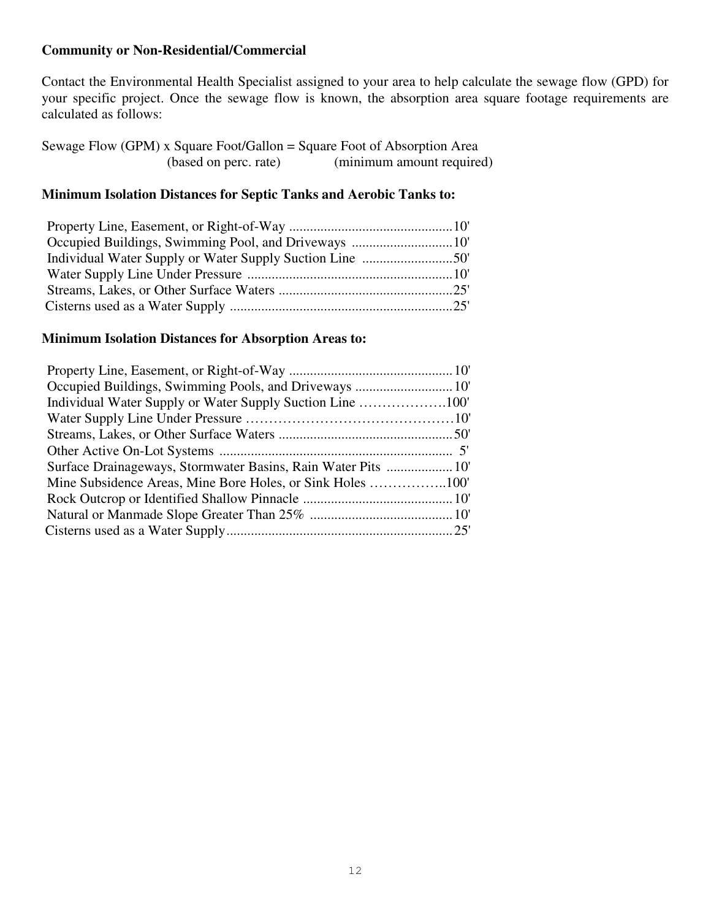## **Community or Non-Residential/Commercial**

Contact the Environmental Health Specialist assigned to your area to help calculate the sewage flow (GPD) for your specific project. Once the sewage flow is known, the absorption area square footage requirements are calculated as follows:

| Sewage Flow (GPM) x Square Foot/Gallon = Square Foot of Absorption Area |                           |
|-------------------------------------------------------------------------|---------------------------|
| (based on perc. rate)                                                   | (minimum amount required) |

## **Minimum Isolation Distances for Septic Tanks and Aerobic Tanks to:**

| Occupied Buildings, Swimming Pool, and Driveways 10 |  |
|-----------------------------------------------------|--|
|                                                     |  |
|                                                     |  |
|                                                     |  |
|                                                     |  |

#### **Minimum Isolation Distances for Absorption Areas to:**

| Surface Drainageways, Stormwater Basins, Rain Water Pits  10' |  |
|---------------------------------------------------------------|--|
|                                                               |  |
|                                                               |  |
|                                                               |  |
|                                                               |  |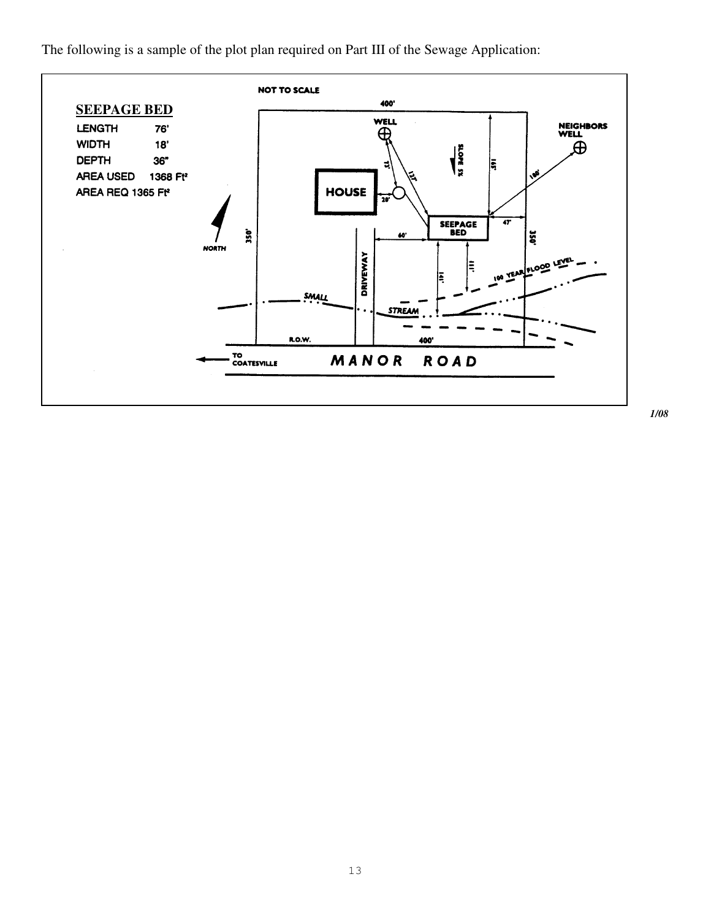The following is a sample of the plot plan required on Part III of the Sewage Application:



*1/08*